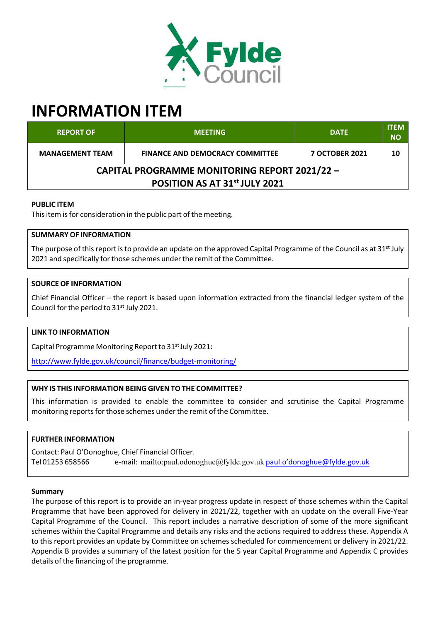

# **INFORMATION ITEM**

| <b>REPORT OF</b>                                     | <b>MEETING</b>                         | <b>DATE</b>           | <b>ITEM</b><br><b>NO</b> |
|------------------------------------------------------|----------------------------------------|-----------------------|--------------------------|
| <b>MANAGEMENT TEAM</b>                               | <b>FINANCE AND DEMOCRACY COMMITTEE</b> | <b>7 OCTOBER 2021</b> | 10                       |
| <b>CAPITAL PROGRAMME MONITORING REPORT 2021/22 -</b> |                                        |                       |                          |
| POSITION AS AT 31 <sup>st</sup> JULY 2021            |                                        |                       |                          |

## **PUBLIC ITEM**

This item is for consideration in the public part of the meeting.

## **SUMMARY OF INFORMATION**

The purpose of this report is to provide an update on the approved Capital Programme of the Council as at 31<sup>st</sup> July 2021 and specifically for those schemes under the remit of the Committee.

# **SOURCE OF INFORMATION**

Chief Financial Officer – the report is based upon information extracted from the financial ledger system of the Council for the period to 31<sup>st</sup> July 2021.

#### **LINK TO INFORMATION**

Capital Programme Monitoring Report to 31<sup>st</sup> July 2021:

http://www.fylde.gov.uk/council/finance/budget‐monitoring/

# **WHY IS THIS INFORMATION BEING GIVEN TO THE COMMITTEE?**

This information is provided to enable the committee to consider and scrutinise the Capital Programme monitoring reports for those schemes under the remit of the Committee.

#### **FURTHER INFORMATION**

Contact: Paul O'Donoghue, Chief Financial Officer. Tel 01253 658566 e-mail: mailto:paul.odonoghue@fylde.gov.uk paul.o'donoghue@fylde.gov.uk

#### **Summary**

The purpose of this report is to provide an in‐year progress update in respect of those schemes within the Capital Programme that have been approved for delivery in 2021/22, together with an update on the overall Five‐Year Capital Programme of the Council. This report includes a narrative description of some of the more significant schemes within the Capital Programme and details any risks and the actions required to address these. Appendix A to this report provides an update by Committee on schemes scheduled for commencement or delivery in 2021/22. Appendix B provides a summary of the latest position for the 5 year Capital Programme and Appendix C provides details of the financing of the programme.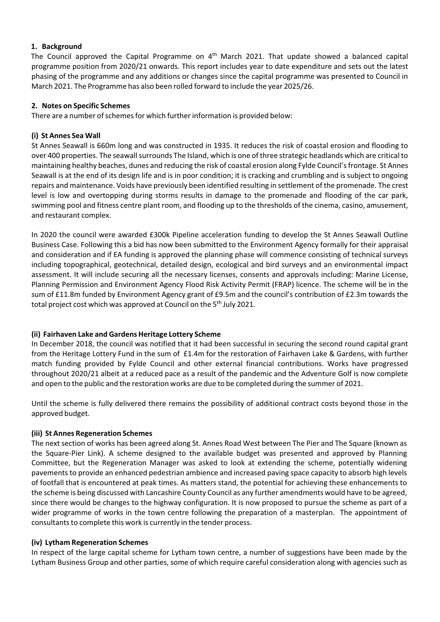## **1. Background**

The Council approved the Capital Programme on 4<sup>th</sup> March 2021. That update showed a balanced capital programme position from 2020/21 onwards. This report includes year to date expenditure and sets out the latest phasing of the programme and any additions or changes since the capital programme was presented to Council in March 2021. The Programme has also been rolled forward to include the year 2025/26.

#### **2. Notes on Specific Schemes**

There are a number of schemes for which further information is provided below:

## **(i) St Annes Sea Wall**

St Annes Seawall is 660m long and was constructed in 1935. It reduces the risk of coastal erosion and flooding to over 400 properties. The seawall surrounds The Island, which is one of three strategic headlands which are critical to maintaining healthy beaches, dunes and reducing the risk of coastal erosion along Fylde Council'sfrontage. St Annes Seawall is at the end of its design life and is in poor condition; it is cracking and crumbling and is subject to ongoing repairs and maintenance. Voids have previously been identified resulting in settlement of the promenade. The crest level is low and overtopping during storms results in damage to the promenade and flooding of the car park, swimming pool and fitness centre plant room, and flooding up to the thresholds of the cinema, casino, amusement, and restaurant complex.

In 2020 the council were awarded £300k Pipeline acceleration funding to develop the St Annes Seawall Outline Business Case. Following this a bid has now been submitted to the Environment Agency formally for their appraisal and consideration and if EA funding is approved the planning phase will commence consisting of technical surveys including topographical, geotechnical, detailed design, ecological and bird surveys and an environmental impact assessment. It will include securing all the necessary licenses, consents and approvals including: Marine License, Planning Permission and Environment Agency Flood Risk Activity Permit (FRAP) licence. The scheme will be in the sum of £11.8m funded by Environment Agency grant of £9.5m and the council's contribution of £2.3m towards the total project cost which was approved at Council on the 5<sup>th</sup> July 2021.

# **(ii) Fairhaven Lake and Gardens Heritage Lottery Scheme**

In December 2018, the council was notified that it had been successful in securing the second round capital grant from the Heritage Lottery Fund in the sum of £1.4m for the restoration of Fairhaven Lake & Gardens, with further match funding provided by Fylde Council and other external financial contributions. Works have progressed throughout 2020/21 albeit at a reduced pace as a result of the pandemic and the Adventure Golf is now complete and open to the public and the restoration works are due to be completed during the summer of 2021.

Until the scheme is fully delivered there remains the possibility of additional contract costs beyond those in the approved budget.

#### **(iii) St Annes Regeneration Schemes**

The next section of works has been agreed along St. Annes Road West between The Pier and The Square (known as the Square‐Pier Link). A scheme designed to the available budget was presented and approved by Planning Committee, but the Regeneration Manager was asked to look at extending the scheme, potentially widening pavements to provide an enhanced pedestrian ambience and increased paving space capacity to absorb high levels of footfall that is encountered at peak times. As matters stand, the potential for achieving these enhancements to the scheme is being discussed with Lancashire County Council as any further amendments would have to be agreed, since there would be changes to the highway configuration. It is now proposed to pursue the scheme as part of a wider programme of works in the town centre following the preparation of a masterplan. The appointment of consultants to complete this work is currently in the tender process.

#### **(iv) Lytham Regeneration Schemes**

In respect of the large capital scheme for Lytham town centre, a number of suggestions have been made by the Lytham Business Group and other parties, some of which require careful consideration along with agencies such as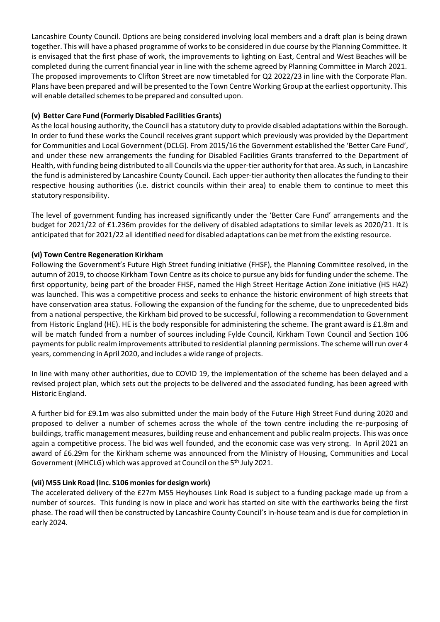Lancashire County Council. Options are being considered involving local members and a draft plan is being drawn together. This will have a phased programme of worksto be considered in due course by the Planning Committee. It is envisaged that the first phase of work, the improvements to lighting on East, Central and West Beaches will be completed during the current financial year in line with the scheme agreed by Planning Committee in March 2021. The proposed improvements to Clifton Street are now timetabled for Q2 2022/23 in line with the Corporate Plan. Plans have been prepared and will be presented to the Town Centre Working Group at the earliest opportunity. This will enable detailed schemes to be prepared and consulted upon.

# **(v) Better Care Fund (Formerly Disabled Facilities Grants)**

Asthe local housing authority, the Council has a statutory duty to provide disabled adaptations within the Borough. In order to fund these works the Council receives grant support which previously was provided by the Department for Communities and Local Government (DCLG). From 2015/16 the Government established the 'Better Care Fund', and under these new arrangements the funding for Disabled Facilities Grants transferred to the Department of Health, with funding being distributed to all Councils via the upper-tier authority for that area. As such, in Lancashire the fund is administered by Lancashire County Council. Each upper-tier authority then allocates the funding to their respective housing authorities (i.e. district councils within their area) to enable them to continue to meet this statutory responsibility.

The level of government funding has increased significantly under the 'Better Care Fund' arrangements and the budget for 2021/22 of £1.236m provides for the delivery of disabled adaptations to similar levels as 2020/21. It is anticipated that for 2021/22 all identified need for disabled adaptations can be met from the existing resource.

# **(vi) Town Centre Regeneration Kirkham**

Following the Government's Future High Street funding initiative (FHSF), the Planning Committee resolved, in the autumn of 2019, to choose Kirkham Town Centre as its choice to pursue any bids for funding under the scheme. The first opportunity, being part of the broader FHSF, named the High Street Heritage Action Zone initiative (HS HAZ) was launched. This was a competitive process and seeks to enhance the historic environment of high streets that have conservation area status. Following the expansion of the funding for the scheme, due to unprecedented bids from a national perspective, the Kirkham bid proved to be successful, following a recommendation to Government from Historic England (HE). HE is the body responsible for administering the scheme. The grant award is £1.8m and will be match funded from a number of sources including Fylde Council, Kirkham Town Council and Section 106 payments for public realm improvements attributed to residential planning permissions. The scheme will run over 4 years, commencing in April 2020, and includes a wide range of projects.

In line with many other authorities, due to COVID 19, the implementation of the scheme has been delayed and a revised project plan, which sets out the projects to be delivered and the associated funding, has been agreed with Historic England.

A further bid for £9.1m was also submitted under the main body of the Future High Street Fund during 2020 and proposed to deliver a number of schemes across the whole of the town centre including the re‐purposing of buildings, traffic management measures, building reuse and enhancement and public realm projects. This was once again a competitive process. The bid was well founded, and the economic case was very strong. In April 2021 an award of £6.29m for the Kirkham scheme was announced from the Ministry of Housing, Communities and Local Government (MHCLG) which was approved at Council on the 5<sup>th</sup> July 2021.

# **(vii) M55 Link Road (Inc. S106 moniesfor design work)**

The accelerated delivery of the £27m M55 Heyhouses Link Road is subject to a funding package made up from a number of sources. This funding is now in place and work has started on site with the earthworks being the first phase. The road will then be constructed by Lancashire County Council's in-house team and is due for completion in early 2024.